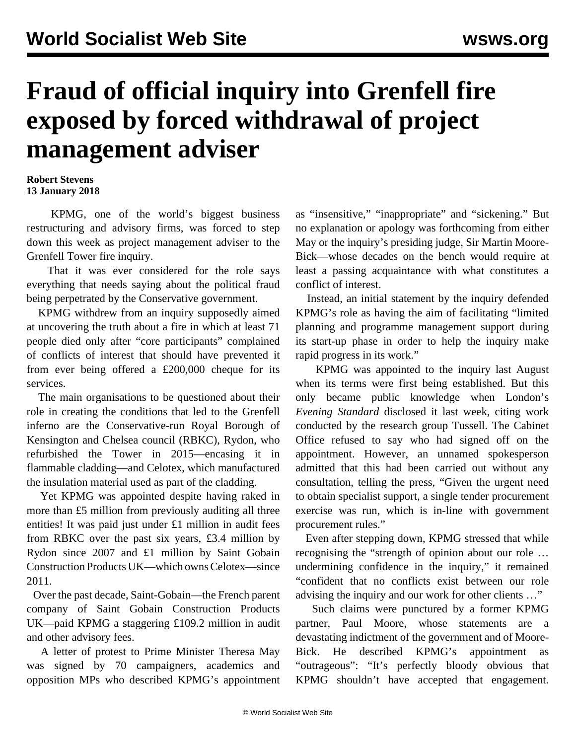## **Fraud of official inquiry into Grenfell fire exposed by forced withdrawal of project management adviser**

## **Robert Stevens 13 January 2018**

 KPMG, one of the world's biggest business restructuring and advisory firms, was forced to step down this week as project management adviser to the Grenfell Tower fire inquiry.

 That it was ever considered for the role says everything that needs saying about the political fraud being perpetrated by the Conservative government.

 KPMG withdrew from an inquiry supposedly aimed at uncovering the truth about a fire in which at least 71 people died only after "core participants" complained of conflicts of interest that should have prevented it from ever being offered a £200,000 cheque for its services.

 The main organisations to be questioned about their role in creating the conditions that led to the Grenfell inferno are the Conservative-run Royal Borough of Kensington and Chelsea council (RBKC), Rydon, who refurbished the Tower in 2015—encasing it in flammable cladding—and Celotex, which manufactured the insulation material used as part of the cladding.

 Yet KPMG was appointed despite having raked in more than £5 million from previously auditing all three entities! It was paid just under £1 million in audit fees from RBKC over the past six years, £3.4 million by Rydon since 2007 and £1 million by Saint Gobain Construction Products UK—which owns Celotex—since 2011.

 Over the past decade, Saint-Gobain—the French parent company of Saint Gobain Construction Products UK—paid KPMG a staggering £109.2 million in audit and other advisory fees.

 A letter of protest to Prime Minister Theresa May was signed by 70 campaigners, academics and opposition MPs who described KPMG's appointment as "insensitive," "inappropriate" and "sickening." But no explanation or apology was forthcoming from either May or the inquiry's presiding judge, Sir Martin Moore-Bick—whose decades on the bench would require at least a passing acquaintance with what constitutes a conflict of interest.

 Instead, an initial statement by the inquiry defended KPMG's role as having the aim of facilitating "limited planning and programme management support during its start-up phase in order to help the inquiry make rapid progress in its work."

 KPMG was appointed to the inquiry last August when its terms were first being established. But this only became public knowledge when London's *Evening Standard* disclosed it last week, citing work conducted by the research group Tussell. The Cabinet Office refused to say who had signed off on the appointment. However, an unnamed spokesperson admitted that this had been carried out without any consultation, telling the press, "Given the urgent need to obtain specialist support, a single tender procurement exercise was run, which is in-line with government procurement rules."

 Even after stepping down, KPMG stressed that while recognising the "strength of opinion about our role … undermining confidence in the inquiry," it remained "confident that no conflicts exist between our role advising the inquiry and our work for other clients …"

 Such claims were punctured by a former KPMG partner, Paul Moore, whose statements are a devastating indictment of the government and of Moore-Bick. He described KPMG's appointment as "outrageous": "It's perfectly bloody obvious that KPMG shouldn't have accepted that engagement.